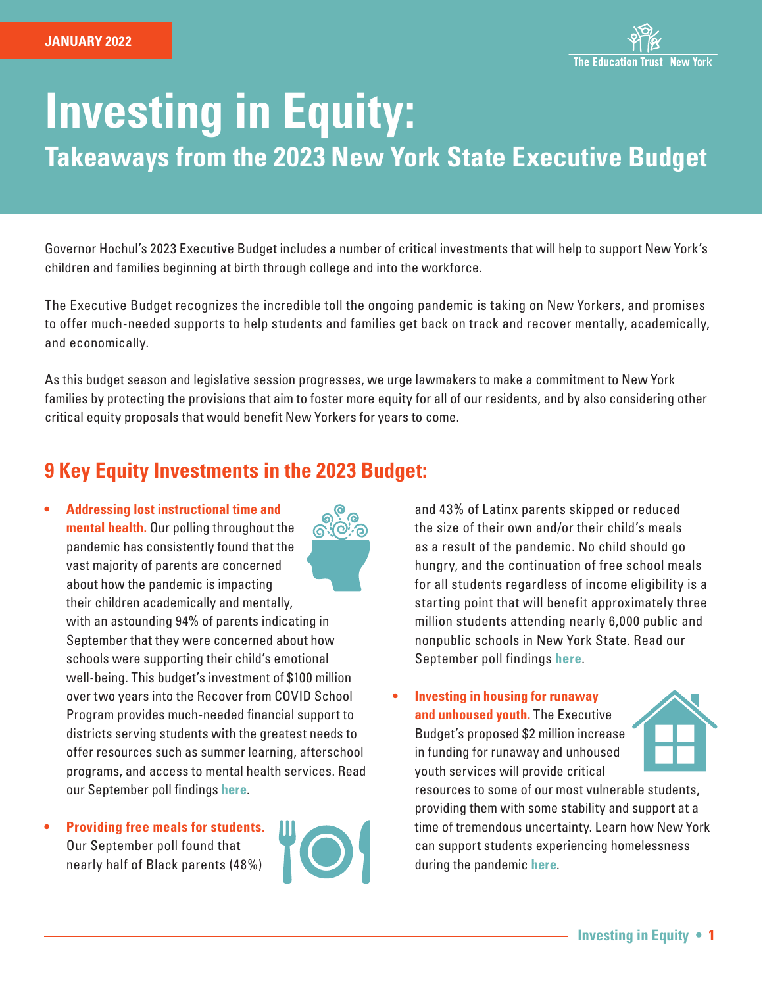

# **Investing in Equity:**

**Takeaways from the 2023 New York State Executive Budget**

Governor Hochul's 2023 Executive Budget includes a number of critical investments that will help to support New York's children and families beginning at birth through college and into the workforce.

The Executive Budget recognizes the incredible toll the ongoing pandemic is taking on New Yorkers, and promises to offer much-needed supports to help students and families get back on track and recover mentally, academically, and economically.

As this budget season and legislative session progresses, we urge lawmakers to make a commitment to New York families by protecting the provisions that aim to foster more equity for all of our residents, and by also considering other critical equity proposals that would benefit New Yorkers for years to come.

## **9 Key Equity Investments in the 2023 Budget:**

- **• Addressing lost instructional time and mental health.** Our polling throughout the pandemic has consistently found that the vast majority of parents are concerned about how the pandemic is impacting their children academically and mentally, with an astounding 94% of parents indicating in September that they were concerned about how schools were supporting their child's emotional well-being. This budget's investment of \$100 million over two years into the Recover from COVID School Program provides much-needed financial support to districts serving students with the greatest needs to offer resources such as summer learning, afterschool programs, and access to mental health services. Read our September poll findings **[here](https://newyork.edtrust.org/wp-content/uploads/2021/09/Back-to-School-2021-parent-poll.pdf)**.
- **• Providing free meals for students.** Our September poll found that nearly half of Black parents (48%)



and 43% of Latinx parents skipped or reduced the size of their own and/or their child's meals as a result of the pandemic. No child should go hungry, and the continuation of free school meals for all students regardless of income eligibility is a starting point that will benefit approximately three million students attending nearly 6,000 public and nonpublic schools in New York State. Read our September poll findings **[here](https://newyork.edtrust.org/wp-content/uploads/2021/09/Back-to-School-2021-parent-poll.pdf)**.

**• Investing in housing for runaway and unhoused youth.** The Executive Budget's proposed \$2 million increase in funding for runaway and unhoused youth services will provide critical



resources to some of our most vulnerable students, providing them with some stability and support at a time of tremendous uncertainty. Learn how New York can support students experiencing homelessness during the pandemic **[here](https://edtrustmain.s3.us-east-2.amazonaws.com/wp-content/uploads/sites/5/2020/04/07114858/Supporting-Students-Experiencing-Homelessness.pdf)**.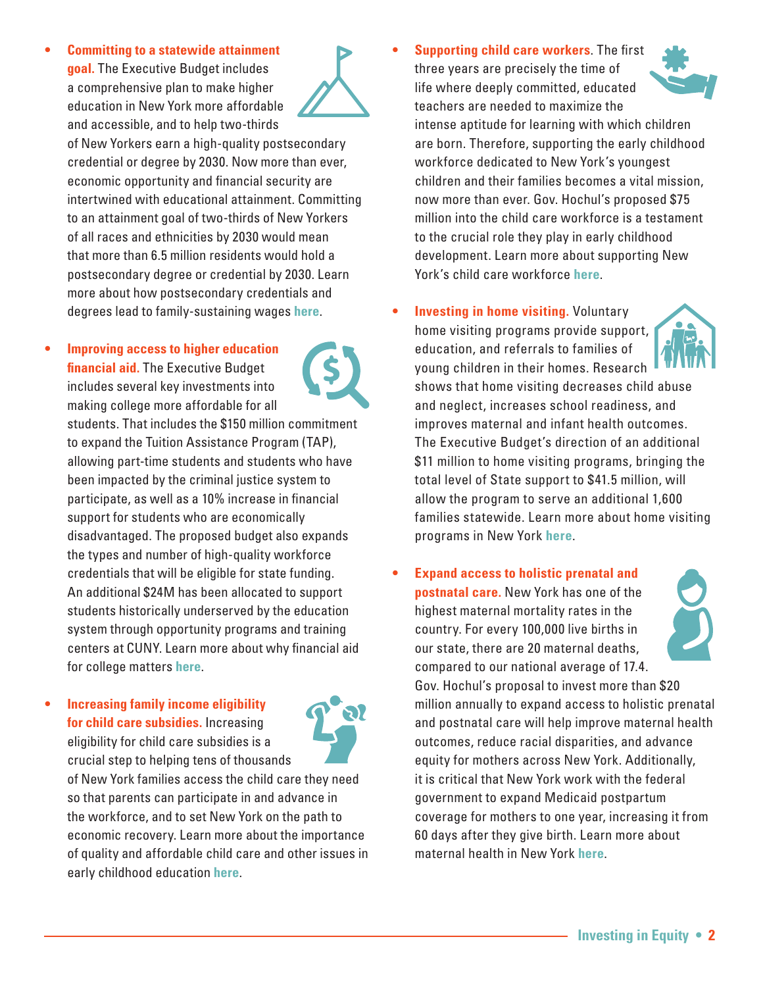**• Committing to a statewide attainment goal.** The Executive Budget includes a comprehensive plan to make higher education in New York more affordable and accessible, and to help two-thirds



of New Yorkers earn a high-quality postsecondary credential or degree by 2030. Now more than ever, economic opportunity and financial security are intertwined with educational attainment. Committing to an attainment goal of two-thirds of New Yorkers of all races and ethnicities by 2030 would mean that more than 6.5 million residents would hold a postsecondary degree or credential by 2030. Learn more about how postsecondary credentials and degrees lead to family-sustaining wages **[here](https://newyork.edtrust.org/wp-content/uploads/2020/12/Aiming-Higher.pdf)**.

**• Improving access to higher education financial aid.** The Executive Budget includes several key investments into making college more affordable for all

students. That includes the \$150 million commitment to expand the Tuition Assistance Program (TAP), allowing part-time students and students who have been impacted by the criminal justice system to participate, as well as a 10% increase in financial support for students who are economically disadvantaged. The proposed budget also expands the types and number of high-quality workforce credentials that will be eligible for state funding. An additional \$24M has been allocated to support students historically underserved by the education system through opportunity programs and training centers at CUNY. Learn more about why financial aid for college matters **[here](https://newyork.edtrust.org/new-york-state-fafsa/)**.

**• Increasing family income eligibility for child care subsidies.** Increasing eligibility for child care subsidies is a crucial step to helping tens of thousands



of New York families access the child care they need so that parents can participate in and advance in the workforce, and to set New York on the path to economic recovery. Learn more about the importance of quality and affordable child care and other issues in early childhood education **[here](https://raisingnewyork.org/)**.

- **• Supporting child care workers**. The first three years are precisely the time of life where deeply committed, educated teachers are needed to maximize the intense aptitude for learning with which children are born. Therefore, supporting the early childhood workforce dedicated to New York's youngest children and their families becomes a vital mission, now more than ever. Gov. Hochul's proposed \$75 million into the child care workforce is a testament to the crucial role they play in early childhood development. Learn more about supporting New York's child care workforce **[here](https://raisingnewyork.org/wp-content/uploads/sites/2/2021/03/State-of-the-Childcare-Report_F_3.17.2021.pdf)**.
- **• Investing in home visiting.** Voluntary

education, and referrals to families of



young children in their homes. Research shows that home visiting decreases child abuse and neglect, increases school readiness, and improves maternal and infant health outcomes. The Executive Budget's direction of an additional \$11 million to home visiting programs, bringing the total level of State support to \$41.5 million, will allow the program to serve an additional 1,600 families statewide. Learn more about home visiting programs in New York **[here](https://raisingnewyork.org/home-visitation/)**.

**• Expand access to holistic prenatal and postnatal care.** New York has one of the highest maternal mortality rates in the country. For every 100,000 live births in our state, there are 20 maternal deaths, compared to our national average of 17.4. Gov. Hochul's proposal to invest more than \$20 million annually to expand access to holistic prenatal and postnatal care will help improve maternal health outcomes, reduce racial disparities, and advance equity for mothers across New York. Additionally, it is critical that New York work with the federal government to expand Medicaid postpartum coverage for mothers to one year, increasing it from 60 days after they give birth. Learn more about maternal health in New York **[here](https://raisingnewyork.org/maternalhealth/)**.